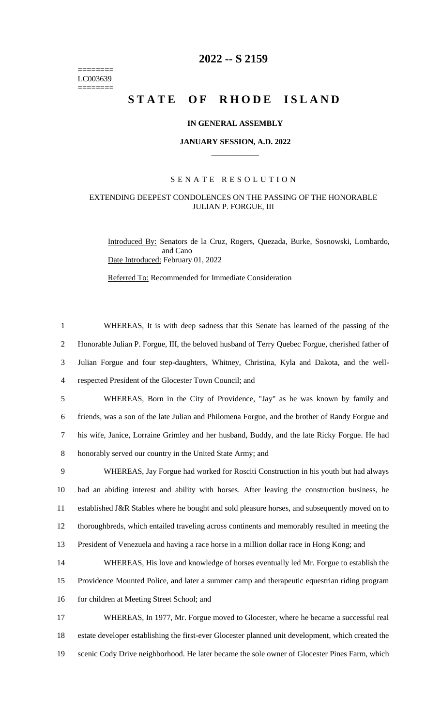======== LC003639 ========

# **2022 -- S 2159**

# **STATE OF RHODE ISLAND**

## **IN GENERAL ASSEMBLY**

#### **JANUARY SESSION, A.D. 2022 \_\_\_\_\_\_\_\_\_\_\_\_**

## S E N A T E R E S O L U T I O N

# EXTENDING DEEPEST CONDOLENCES ON THE PASSING OF THE HONORABLE JULIAN P. FORGUE, III

Introduced By: Senators de la Cruz, Rogers, Quezada, Burke, Sosnowski, Lombardo, and Cano Date Introduced: February 01, 2022

Referred To: Recommended for Immediate Consideration

 WHEREAS, It is with deep sadness that this Senate has learned of the passing of the Honorable Julian P. Forgue, III, the beloved husband of Terry Quebec Forgue, cherished father of Julian Forgue and four step-daughters, Whitney, Christina, Kyla and Dakota, and the well- respected President of the Glocester Town Council; and WHEREAS, Born in the City of Providence, "Jay" as he was known by family and friends, was a son of the late Julian and Philomena Forgue, and the brother of Randy Forgue and his wife, Janice, Lorraine Grimley and her husband, Buddy, and the late Ricky Forgue. He had honorably served our country in the United State Army; and WHEREAS, Jay Forgue had worked for Rosciti Construction in his youth but had always had an abiding interest and ability with horses. After leaving the construction business, he established J&R Stables where he bought and sold pleasure horses, and subsequently moved on to thoroughbreds, which entailed traveling across continents and memorably resulted in meeting the President of Venezuela and having a race horse in a million dollar race in Hong Kong; and WHEREAS, His love and knowledge of horses eventually led Mr. Forgue to establish the Providence Mounted Police, and later a summer camp and therapeutic equestrian riding program 16 for children at Meeting Street School; and WHEREAS, In 1977, Mr. Forgue moved to Glocester, where he became a successful real estate developer establishing the first-ever Glocester planned unit development, which created the scenic Cody Drive neighborhood. He later became the sole owner of Glocester Pines Farm, which